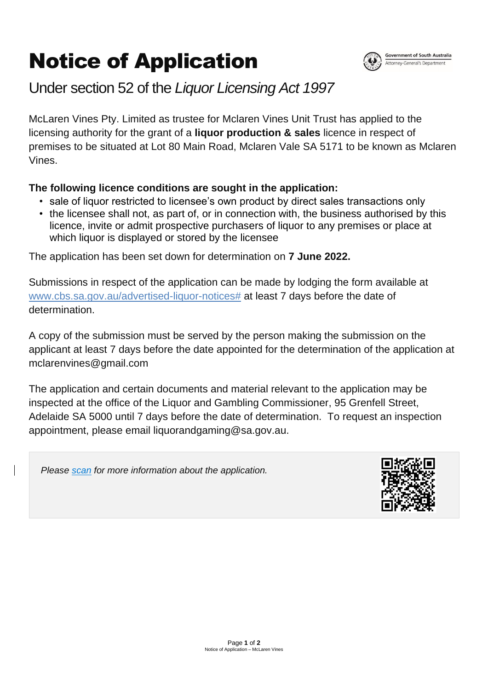Page **1** of **2** Notice of Application – McLaren Vines

## Notice of Application



## Under section 52 of the *Liquor Licensing Act 1997*

McLaren Vines Pty. Limited as trustee for Mclaren Vines Unit Trust has applied to the licensing authority for the grant of a **liquor production & sales** licence in respect of premises to be situated at Lot 80 Main Road, Mclaren Vale SA 5171 to be known as Mclaren Vines.

## **The following licence conditions are sought in the application:**

- sale of liquor restricted to licensee's own product by direct sales transactions only
- the licensee shall not, as part of, or in connection with, the business authorised by this licence, invite or admit prospective purchasers of liquor to any premises or place at which liquor is displayed or stored by the licensee

The application has been set down for determination on **7 June 2022.**

Submissions in respect of the application can be made by lodging the form available at [www.cbs.sa.gov.au/advertised-liquor-notices#](http://www.cbs.sa.gov.au/advertised-liquor-notices) at least 7 days before the date of determination.

A copy of the submission must be served by the person making the submission on the applicant at least 7 days before the date appointed for the determination of the application at mclarenvines@gmail.com

The application and certain documents and material relevant to the application may be inspected at the office of the Liquor and Gambling Commissioner, 95 Grenfell Street, Adelaide SA 5000 until 7 days before the date of determination. To request an inspection appointment, please email liquorandgaming@sa.gov.au.

*Please scan for more information about the application.*